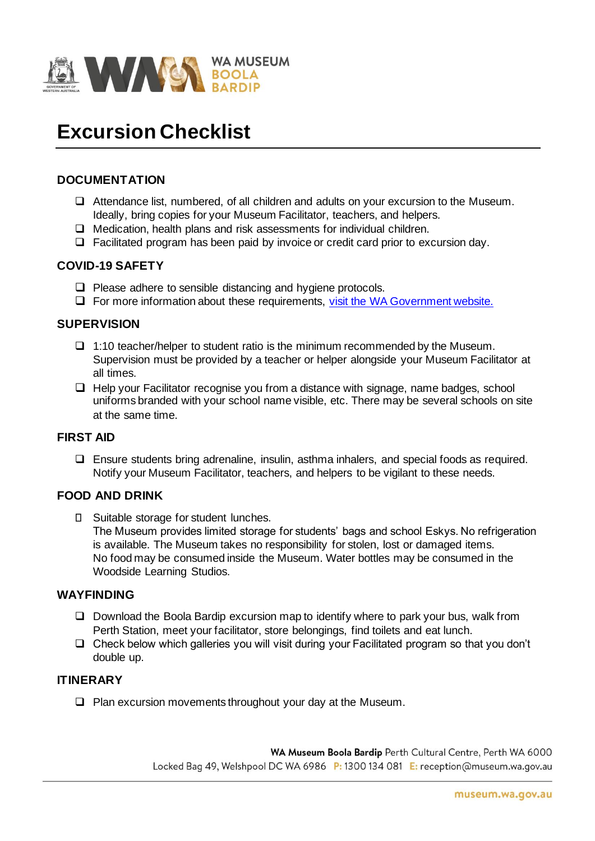

# **Excursion Checklist**

#### **DOCUMENTATION**

- ❑ Attendance list, numbered, of all children and adults on your excursion to the Museum. Ideally, bring copies for your Museum Facilitator, teachers, and helpers.
- ❑ Medication, health plans and risk assessments for individual children.
- ❑ Facilitated program has been paid by invoice or credit card prior to excursion day.

#### **COVID-19 SAFETY**

- ❑ Please adhere to sensible distancing and hygiene protocols.
- ❑ For more information about these requirements, visit the WA Government website.

#### **SUPERVISION**

- ❑ 1:10 teacher/helper to student ratio is the minimum recommended by the Museum. Supervision must be provided by a teacher or helper alongside your Museum Facilitator at all times.
- ❑ Help your Facilitator recognise you from a distance with signage, name badges, school uniforms branded with your school name visible, etc. There may be several schools on site at the same time.

#### **FIRST AID**

❑ Ensure students bring adrenaline, insulin, asthma inhalers, and special foods as required. Notify your Museum Facilitator, teachers, and helpers to be vigilant to these needs.

#### **FOOD AND DRINK**

□ Suitable storage for student lunches. The Museum provides limited storage for students' bags and school Eskys. No refrigeration is available. The Museum takes no responsibility for stolen, lost or damaged items. No food may be consumed inside the Museum. Water bottles may be consumed in the Woodside Learning Studios.

#### **WAYFINDING**

- ❑ Download the Boola Bardip excursion map to identify where to park your bus, walk from Perth Station, meet your facilitator, store belongings, find toilets and eat lunch.
- ❑ Check below which galleries you will visit during your Facilitated program so that you don't double up.

#### **ITINERARY**

❑ Plan excursion movements throughout your day at the Museum.

WA Museum Boola Bardip Perth Cultural Centre, Perth WA 6000 Locked Bag 49, Welshpool DC WA 6986 P: 1300 134 081 E: reception@museum.wa.gov.au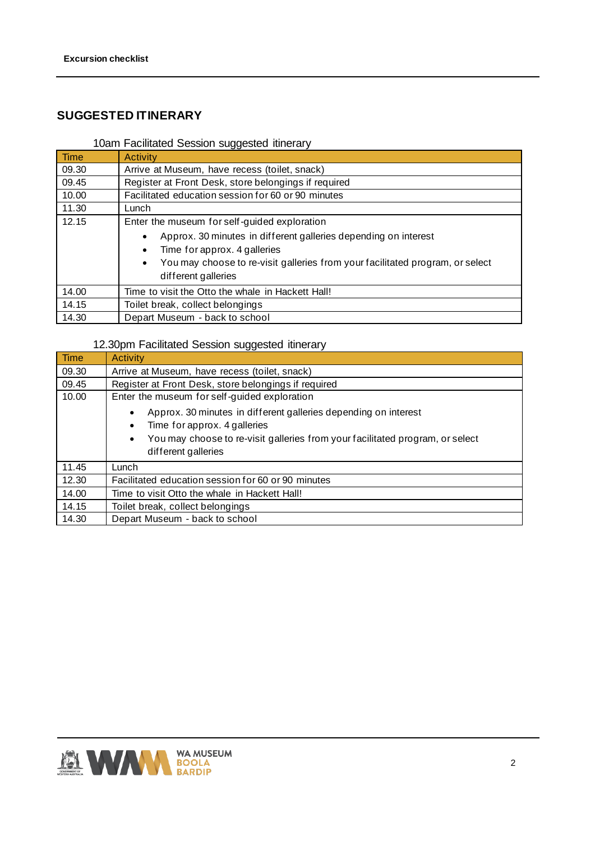## **SUGGESTED ITINERARY**

## 10am Facilitated Session suggested itinerary

| Time  | <b>Activity</b>                                                                                                                                                                                                                                |  |  |  |  |  |  |
|-------|------------------------------------------------------------------------------------------------------------------------------------------------------------------------------------------------------------------------------------------------|--|--|--|--|--|--|
| 09.30 | Arrive at Museum, have recess (toilet, snack)                                                                                                                                                                                                  |  |  |  |  |  |  |
| 09.45 | Register at Front Desk, store belongings if required                                                                                                                                                                                           |  |  |  |  |  |  |
| 10.00 | Facilitated education session for 60 or 90 minutes                                                                                                                                                                                             |  |  |  |  |  |  |
| 11.30 | Lunch                                                                                                                                                                                                                                          |  |  |  |  |  |  |
| 12.15 | Enter the museum for self-guided exploration                                                                                                                                                                                                   |  |  |  |  |  |  |
|       | Approx. 30 minutes in different galleries depending on interest<br>$\bullet$<br>Time for approx. 4 galleries<br>$\bullet$<br>You may choose to re-visit galleries from your facilitated program, or select<br>$\bullet$<br>different galleries |  |  |  |  |  |  |
| 14.00 | Time to visit the Otto the whale in Hackett Hall!                                                                                                                                                                                              |  |  |  |  |  |  |
| 14.15 | Toilet break, collect belongings                                                                                                                                                                                                               |  |  |  |  |  |  |
| 14.30 | Depart Museum - back to school                                                                                                                                                                                                                 |  |  |  |  |  |  |

### 12.30pm Facilitated Session suggested itinerary

| Time  | Activity                                                                                   |  |  |  |  |  |  |
|-------|--------------------------------------------------------------------------------------------|--|--|--|--|--|--|
| 09.30 | Arrive at Museum, have recess (toilet, snack)                                              |  |  |  |  |  |  |
| 09.45 | Register at Front Desk, store belongings if required                                       |  |  |  |  |  |  |
| 10.00 | Enter the museum for self-guided exploration                                               |  |  |  |  |  |  |
|       | Approx. 30 minutes in different galleries depending on interest                            |  |  |  |  |  |  |
|       | Time for approx. 4 galleries<br>٠                                                          |  |  |  |  |  |  |
|       | You may choose to re-visit galleries from your facilitated program, or select<br>$\bullet$ |  |  |  |  |  |  |
|       | different galleries                                                                        |  |  |  |  |  |  |
| 11.45 | Lunch                                                                                      |  |  |  |  |  |  |
| 12.30 | Facilitated education session for 60 or 90 minutes                                         |  |  |  |  |  |  |
| 14.00 | Time to visit Otto the whale in Hackett Hall!                                              |  |  |  |  |  |  |
| 14.15 | Toilet break, collect belongings                                                           |  |  |  |  |  |  |
| 14.30 | Depart Museum - back to school                                                             |  |  |  |  |  |  |